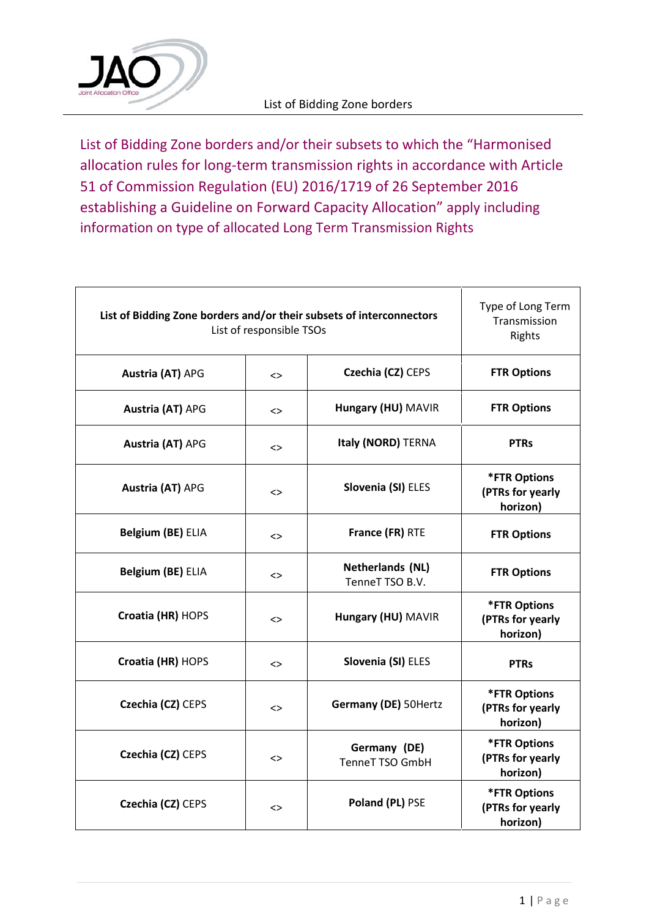

List of Bidding Zone borders and/or their subsets to which the "Harmonised allocation rules for long‐term transmission rights in accordance with Article 51 of Commission Regulation (EU) 2016/1719 of 26 September 2016 establishing a Guideline on Forward Capacity Allocation" apply including information on type of allocated Long Term Transmission Rights

| List of Bidding Zone borders and/or their subsets of interconnectors<br>List of responsible TSOs | Type of Long Term<br>Transmission<br>Rights |                                     |                                                     |
|--------------------------------------------------------------------------------------------------|---------------------------------------------|-------------------------------------|-----------------------------------------------------|
| <b>Austria (AT) APG</b>                                                                          | $\leftrightarrow$                           | Czechia (CZ) CEPS                   | <b>FTR Options</b>                                  |
| Austria (AT) APG                                                                                 | $\left\langle \right\rangle$                | Hungary (HU) MAVIR                  | <b>FTR Options</b>                                  |
| <b>Austria (AT) APG</b>                                                                          | <>                                          | Italy (NORD) TERNA                  | <b>PTRs</b>                                         |
| Austria (AT) APG                                                                                 | <>                                          | Slovenia (SI) ELES                  | <b>*FTR Options</b><br>(PTRs for yearly<br>horizon) |
| Belgium (BE) ELIA                                                                                | <>                                          | France (FR) RTE                     | <b>FTR Options</b>                                  |
| Belgium (BE) ELIA                                                                                | <>                                          | Netherlands (NL)<br>TenneT TSO B.V. | <b>FTR Options</b>                                  |
| Croatia (HR) HOPS                                                                                | <>                                          | Hungary (HU) MAVIR                  | <b>*FTR Options</b><br>(PTRs for yearly<br>horizon) |
| Croatia (HR) HOPS                                                                                | <>                                          | Slovenia (SI) ELES                  | <b>PTRs</b>                                         |
| Czechia (CZ) CEPS                                                                                | <>                                          | Germany (DE) 50Hertz                | <b>*FTR Options</b><br>(PTRs for yearly<br>horizon) |
| Czechia (CZ) CEPS                                                                                | <>                                          | Germany (DE)<br>TenneT TSO GmbH     | <b>*FTR Options</b><br>(PTRs for yearly<br>horizon) |
| Czechia (CZ) CEPS                                                                                | <>                                          | Poland (PL) PSE                     | <b>*FTR Options</b><br>(PTRs for yearly<br>horizon) |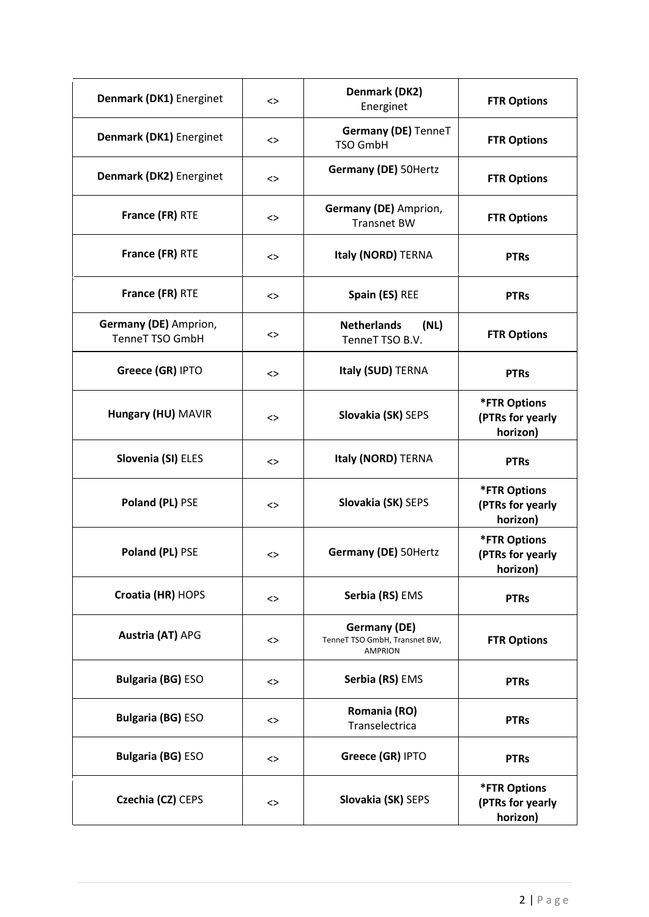| Denmark (DK1) Energinet                  | <>        | Denmark (DK2)<br>Energinet                                             | <b>FTR Options</b>                                  |
|------------------------------------------|-----------|------------------------------------------------------------------------|-----------------------------------------------------|
| Denmark (DK1) Energinet                  | <>        | Germany (DE) TenneT<br><b>TSO GmbH</b>                                 | <b>FTR Options</b>                                  |
| Denmark (DK2) Energinet                  | <>        | Germany (DE) 50Hertz                                                   | <b>FTR Options</b>                                  |
| France (FR) RTE                          | <>        | Germany (DE) Amprion,<br><b>Transnet BW</b>                            | <b>FTR Options</b>                                  |
| France (FR) RTE                          | <>        | Italy (NORD) TERNA                                                     | <b>PTRs</b>                                         |
| France (FR) RTE                          | <>        | Spain (ES) REE                                                         | <b>PTRs</b>                                         |
| Germany (DE) Amprion,<br>TenneT TSO GmbH | <>        | <b>Netherlands</b><br>(NL)<br>TenneT TSO B.V.                          | <b>FTR Options</b>                                  |
| Greece (GR) IPTO                         | $\dot{~}$ | Italy (SUD) TERNA                                                      | <b>PTRs</b>                                         |
| Hungary (HU) MAVIR                       | <>        | Slovakia (SK) SEPS                                                     | <b>*FTR Options</b><br>(PTRs for yearly<br>horizon) |
| Slovenia (SI) ELES                       | <>        | Italy (NORD) TERNA                                                     | <b>PTRs</b>                                         |
| Poland (PL) PSE                          | <>        | Slovakia (SK) SEPS                                                     | <b>*FTR Options</b><br>(PTRs for yearly<br>horizon) |
| Poland (PL) PSE                          | <>        | <b>Germany (DE)</b> 50Hertz                                            | <b>*FTR Options</b><br>(PTRs for yearly<br>horizon) |
| Croatia (HR) HOPS                        | <>        | Serbia (RS) EMS                                                        | <b>PTRs</b>                                         |
| <b>Austria (AT) APG</b>                  | <>        | <b>Germany (DE)</b><br>TenneT TSO GmbH, Transnet BW,<br><b>AMPRION</b> | <b>FTR Options</b>                                  |
| <b>Bulgaria (BG) ESO</b>                 | <>        | Serbia (RS) EMS                                                        | <b>PTRs</b>                                         |
| <b>Bulgaria (BG) ESO</b>                 | <>        | Romania (RO)<br>Transelectrica                                         | <b>PTRs</b>                                         |
| <b>Bulgaria (BG) ESO</b>                 | <>        | Greece (GR) IPTO                                                       | <b>PTRs</b>                                         |
| Czechia (CZ) CEPS                        | <>        | Slovakia (SK) SEPS                                                     | <b>*FTR Options</b><br>(PTRs for yearly<br>horizon) |